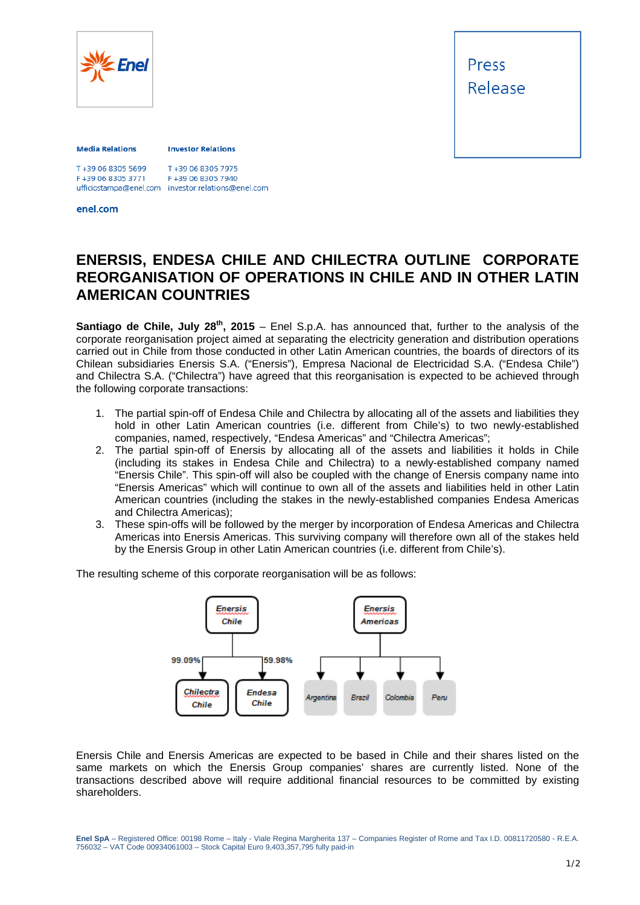

Press Release

## **Media Relations**

**Investor Relations** 

T+39 06 8305 7975 F+39 06 8305 3771 F+39 06 8305 7940 ufficiostampa@enel.com investor.relations@enel.com<br>enel.com

## **ENERSIS, ENDESA CHILE AND CHILECTRA OUTLINE CORPORATE REORGANISATION OF OPERATIONS IN CHILE AND IN OTHER LATIN AMERICAN COUNTRIES**

**Santiago de Chile, July 28<sup>th</sup>, 2015** – Enel S.p.A. has announced that, further to the analysis of the corporate reorganisation project aimed at separating the electricity generation and distribution operations carried out in Chile from those conducted in other Latin American countries, the boards of directors of its Chilean subsidiaries Enersis S.A. ("Enersis"), Empresa Nacional de Electricidad S.A. ("Endesa Chile") and Chilectra S.A. ("Chilectra") have agreed that this reorganisation is expected to be achieved through the following corporate transactions:

- 1. The partial spin-off of Endesa Chile and Chilectra by allocating all of the assets and liabilities they hold in other Latin American countries (i.e. different from Chile's) to two newly-established companies, named, respectively, "Endesa Americas" and "Chilectra Americas";
- 2. The partial spin-off of Enersis by allocating all of the assets and liabilities it holds in Chile (including its stakes in Endesa Chile and Chilectra) to a newly-established company named "Enersis Chile". This spin-off will also be coupled with the change of Enersis company name into "Enersis Americas" which will continue to own all of the assets and liabilities held in other Latin American countries (including the stakes in the newly-established companies Endesa Americas and Chilectra Americas);
- 3. These spin-offs will be followed by the merger by incorporation of Endesa Americas and Chilectra Americas into Enersis Americas. This surviving company will therefore own all of the stakes held by the Enersis Group in other Latin American countries (i.e. different from Chile's).

The resulting scheme of this corporate reorganisation will be as follows:



Enersis Chile and Enersis Americas are expected to be based in Chile and their shares listed on the same markets on which the Enersis Group companies' shares are currently listed. None of the transactions described above will require additional financial resources to be committed by existing shareholders.

**Enel SpA** – Registered Office: 00198 Rome – Italy - Viale Regina Margherita 137 – Companies Register of Rome and Tax I.D. 00811720580 - R.E.A. 756032 – VAT Code 00934061003 – Stock Capital Euro 9,403,357,795 fully paid-in